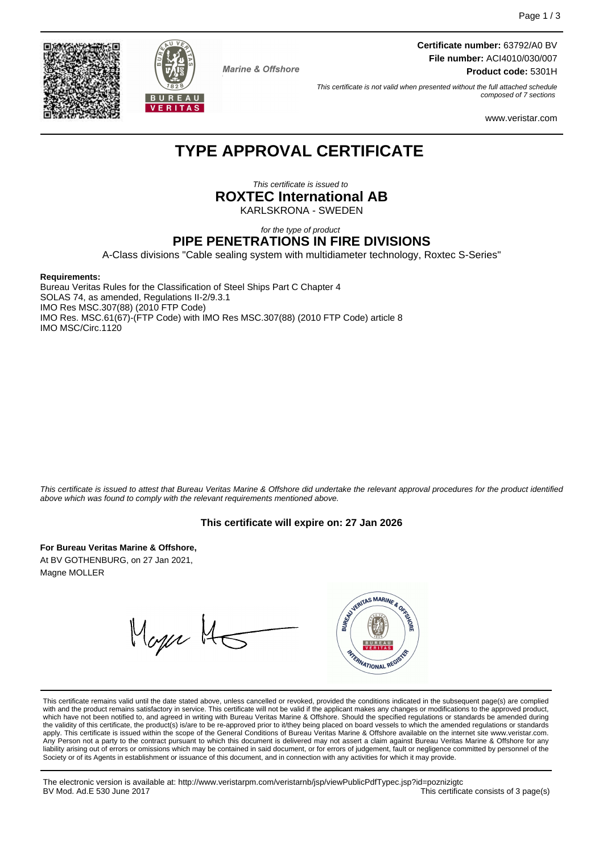**Certificate number:** 63792/A0 BV **File number:** ACI4010/030/007 **Product code:** 5301H

This certificate is not valid when presented without the full attached schedule composed of 7 sections

www.veristar.com

## **TYPE APPROVAL CERTIFICATE**

**Marine & Offshore** 

This certificate is issued to **ROXTEC International AB** KARLSKRONA - SWEDEN

for the type of product

### **PIPE PENETRATIONS IN FIRE DIVISIONS**

A-Class divisions "Cable sealing system with multidiameter technology, Roxtec S-Series"

#### **Requirements:**

Bureau Veritas Rules for the Classification of Steel Ships Part C Chapter 4 SOLAS 74, as amended, Regulations II-2/9.3.1 IMO Res MSC.307(88) (2010 FTP Code) IMO Res. MSC.61(67)-(FTP Code) with IMO Res MSC.307(88) (2010 FTP Code) article 8 IMO MSC/Circ.1120

This certificate is issued to attest that Bureau Veritas Marine & Offshore did undertake the relevant approval procedures for the product identified above which was found to comply with the relevant requirements mentioned above.

#### **This certificate will expire on: 27 Jan 2026**

**For Bureau Veritas Marine & Offshore,** At BV GOTHENBURG, on 27 Jan 2021,

Magne MOLLER

WYERITAS MARINE & ORE Mager H TERNATIONAL REG

This certificate remains valid until the date stated above, unless cancelled or revoked, provided the conditions indicated in the subsequent page(s) are complied with and the product remains satisfactory in service. This certificate will not be valid if the applicant makes any changes or modifications to the approved product, which have not been notified to, and agreed in writing with Bureau Veritas Marine & Offshore. Should the specified regulations or standards be amended during<br>the validity of this certificate, the product(s) is/are to be re apply. This certificate is issued within the scope of the General Conditions of Bureau Veritas Marine & Offshore available on the internet site www.veristar.com. Any Person not a party to the contract pursuant to which this document is delivered may not assert a claim against Bureau Veritas Marine & Offshore for any liability arising out of errors or omissions which may be contained in said document, or for errors of judgement, fault or negligence committed by personnel of the<br>Society or of its Agents in establishment or issuance of t

The electronic version is available at: http://www.veristarpm.com/veristarnb/jsp/viewPublicPdfTypec.jsp?id=poznizigtc This certificate consists of 3 page(s)

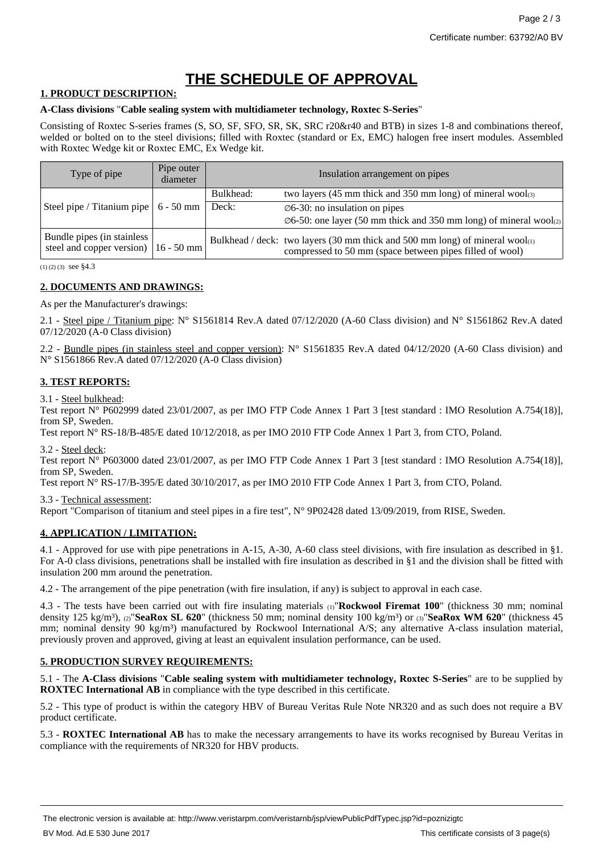# **THE SCHEDULE OF APPROVAL**

#### **1. PRODUCT DESCRIPTION:**

#### **A-Class divisions** "**Cable sealing system with multidiameter technology, Roxtec S-Series**"

Consisting of Roxtec S-series frames (S, SO, SF, SFO, SR, SK, SRC r20&r40 and BTB) in sizes 1-8 and combinations thereof, welded or bolted on to the steel divisions; filled with Roxtec (standard or Ex, EMC) halogen free insert modules. Assembled with Roxtec Wedge kit or Roxtec EMC, Ex Wedge kit.

| Type of pipe                                            | Pipe outer<br>diameter |           | Insulation arrangement on pipes                                                                                                                |
|---------------------------------------------------------|------------------------|-----------|------------------------------------------------------------------------------------------------------------------------------------------------|
|                                                         |                        | Bulkhead: | two layers (45 mm thick and 350 mm long) of mineral wool $_{(3)}$                                                                              |
| Steel pipe / Titanium pipe                              | $6 - 50$ mm            | Deck:     | $\varnothing$ 6-30: no insulation on pipes<br>$\varnothing$ 6-50: one layer (50 mm thick and 350 mm long) of mineral wool $\varnothing$        |
| Bundle pipes (in stainless<br>steel and copper version) | $16 - 50$ mm           |           | Bulkhead / deck: two layers (30 mm thick and 500 mm long) of mineral wool $_{(1)}$<br>compressed to 50 mm (space between pipes filled of wool) |

 $(1)$  (2) (3) see §4.3

#### **2. DOCUMENTS AND DRAWINGS:**

As per the Manufacturer's drawings:

2.1 - Steel pipe / Titanium pipe:  $N^{\circ}$  S1561814 Rev.A dated 07/12/2020 (A-60 Class division) and  $N^{\circ}$  S1561862 Rev.A dated 07/12/2020 (A-0 Class division)

2.2 - Bundle pipes (in stainless steel and copper version):  $N^{\circ}$  S1561835 Rev.A dated 04/12/2020 (A-60 Class division) and N° S1561866 Rev.A dated 07/12/2020 (A-0 Class division)

### **3. TEST REPORTS:**

3.1 - Steel bulkhead:

Test report N° P602999 dated 23/01/2007, as per IMO FTP Code Annex 1 Part 3 [test standard : IMO Resolution A.754(18)], from SP, Sweden.

Test report N° RS-18/B-485/E dated 10/12/2018, as per IMO 2010 FTP Code Annex 1 Part 3, from CTO, Poland.

3.2 - Steel deck:

Test report N° P603000 dated 23/01/2007, as per IMO FTP Code Annex 1 Part 3 [test standard : IMO Resolution A.754(18)], from SP, Sweden.

Test report N° RS-17/B-395/E dated 30/10/2017, as per IMO 2010 FTP Code Annex 1 Part 3, from CTO, Poland.

3.3 - Technical assessment:

Report "Comparison of titanium and steel pipes in a fire test",  $N^{\circ}$  9P02428 dated 13/09/2019, from RISE, Sweden.

#### **4. APPLICATION / LIMITATION:**

4.1 - Approved for use with pipe penetrations in A-15, A-30, A-60 class steel divisions, with fire insulation as described in §1. For A-0 class divisions, penetrations shall be installed with fire insulation as described in §1 and the division shall be fitted with insulation 200 mm around the penetration.

4.2 - The arrangement of the pipe penetration (with fire insulation, if any) is subject to approval in each case.

4.3 - The tests have been carried out with fire insulating materials (1)"**Rockwool Firemat 100**" (thickness 30 mm; nominal density 125 kg/m<sup>3</sup>), (2)"**SeaRox SL 620**" (thickness 50 mm; nominal density 100 kg/m<sup>3</sup>) or (3)"**SeaRox WM 620**" (thickness 45 mm; nominal density 90 kg/m<sup>3</sup>) manufactured by Rockwool International A/S; any alternative A-class insulation material, previously proven and approved, giving at least an equivalent insulation performance, can be used.

#### **5. PRODUCTION SURVEY REQUIREMENTS:**

5.1 - The **A-Class divisions** "**Cable sealing system with multidiameter technology, Roxtec S-Series**" are to be supplied by **ROXTEC International AB** in compliance with the type described in this certificate.

5.2 - This type of product is within the category HBV of Bureau Veritas Rule Note NR320 and as such does not require a BV product certificate.

5.3 - **ROXTEC International AB** has to make the necessary arrangements to have its works recognised by Bureau Veritas in compliance with the requirements of NR320 for HBV products.